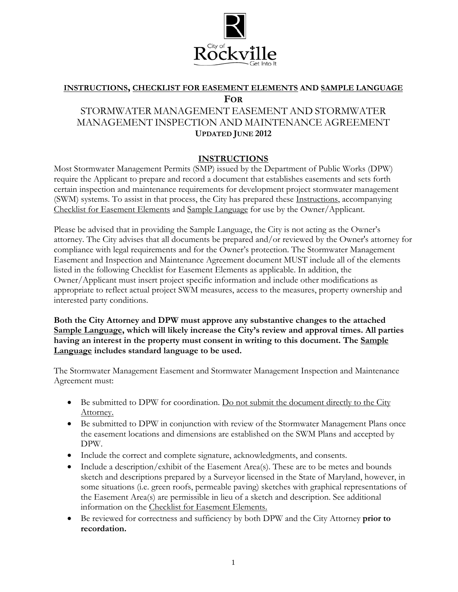

# **INSTRUCTIONS, CHECKLIST FOR EASEMENT ELEMENTS AND SAMPLE LANGUAGE FOR**

## STORMWATER MANAGEMENT EASEMENT AND STORMWATER MANAGEMENT INSPECTION AND MAINTENANCE AGREEMENT **UPDATED JUNE 2012**

### **INSTRUCTIONS**

Most Stormwater Management Permits (SMP) issued by the Department of Public Works (DPW) require the Applicant to prepare and record a document that establishes easements and sets forth certain inspection and maintenance requirements for development project stormwater management (SWM) systems. To assist in that process, the City has prepared these Instructions, accompanying Checklist for Easement Elements and Sample Language for use by the Owner/Applicant.

Please be advised that in providing the Sample Language, the City is not acting as the Owner's attorney. The City advises that all documents be prepared and/or reviewed by the Owner's attorney for compliance with legal requirements and for the Owner's protection. The Stormwater Management Easement and Inspection and Maintenance Agreement document MUST include all of the elements listed in the following Checklist for Easement Elements as applicable. In addition, the Owner/Applicant must insert project specific information and include other modifications as appropriate to reflect actual project SWM measures, access to the measures, property ownership and interested party conditions.

**Both the City Attorney and DPW must approve any substantive changes to the attached Sample Language, which will likely increase the City's review and approval times. All parties having an interest in the property must consent in writing to this document. The Sample Language includes standard language to be used.** 

The Stormwater Management Easement and Stormwater Management Inspection and Maintenance Agreement must:

- Be submitted to DPW for coordination. Do not submit the document directly to the City Attorney.
- Be submitted to DPW in conjunction with review of the Stormwater Management Plans once the easement locations and dimensions are established on the SWM Plans and accepted by DPW.
- Include the correct and complete signature, acknowledgments, and consents.
- Include a description/exhibit of the Easement Area(s). These are to be metes and bounds sketch and descriptions prepared by a Surveyor licensed in the State of Maryland, however, in some situations (i.e. green roofs, permeable paving) sketches with graphical representations of the Easement Area(s) are permissible in lieu of a sketch and description. See additional information on the Checklist for Easement Elements.
- Be reviewed for correctness and sufficiency by both DPW and the City Attorney **prior to recordation.**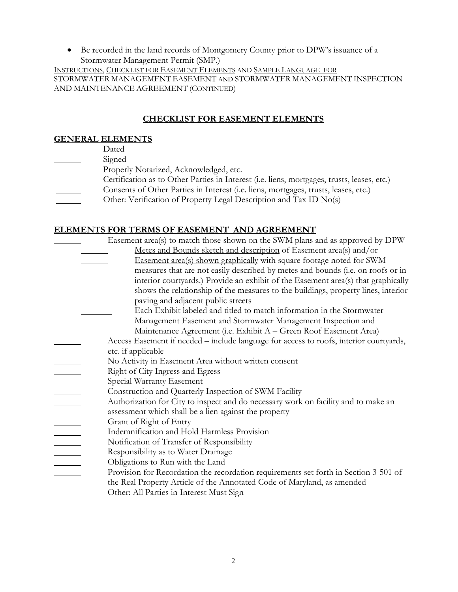• Be recorded in the land records of Montgomery County prior to DPW's issuance of a Stormwater Management Permit (SMP.)

INSTRUCTIONS, CHECKLIST FOR EASEMENT ELEMENTS AND SAMPLE LANGUAGE FOR STORMWATER MANAGEMENT EASEMENT AND STORMWATER MANAGEMENT INSPECTION AND MAINTENANCE AGREEMENT (CONTINUED)

### **CHECKLIST FOR EASEMENT ELEMENTS**

### **GENERAL ELEMENTS**

- Dated
- Signed
- **EXECUTE:** Properly Notarized, Acknowledged, etc.
- Certification as to Other Parties in Interest (i.e. liens, mortgages, trusts, leases, etc.)
- Consents of Other Parties in Interest (i.e. liens, mortgages, trusts, leases, etc.)
- Other: Verification of Property Legal Description and Tax ID No(s)

### **ELEMENTS FOR TERMS OF EASEMENT AND AGREEMENT**

| Easement area(s) to match those shown on the SWM plans and as approved by DPW          |
|----------------------------------------------------------------------------------------|
| Metes and Bounds sketch and description of Easement area(s) and/or                     |
| <b>Easement area(s) shown graphically with square footage noted for SWM</b>            |
| measures that are not easily described by metes and bounds (i.e. on roofs or in        |
| interior courtyards.) Provide an exhibit of the Easement area(s) that graphically      |
| shows the relationship of the measures to the buildings, property lines, interior      |
| paving and adjacent public streets                                                     |
| Each Exhibit labeled and titled to match information in the Stormwater                 |
| Management Easement and Stormwater Management Inspection and                           |
| Maintenance Agreement (i.e. Exhibit A – Green Roof Easement Area)                      |
| Access Easement if needed – include language for access to roofs, interior courtyards, |
| etc. if applicable                                                                     |
| No Activity in Easement Area without written consent                                   |
| Right of City Ingress and Egress                                                       |
| Special Warranty Easement                                                              |
| Construction and Quarterly Inspection of SWM Facility                                  |
| Authorization for City to inspect and do necessary work on facility and to make an     |
| assessment which shall be a lien against the property                                  |
| Grant of Right of Entry                                                                |
| Indemnification and Hold Harmless Provision                                            |
| Notification of Transfer of Responsibility                                             |
| Responsibility as to Water Drainage                                                    |
| Obligations to Run with the Land                                                       |
| Provision for Recordation the recordation requirements set forth in Section 3-501 of   |
| the Real Property Article of the Annotated Code of Maryland, as amended                |
| Other: All Parties in Interest Must Sign                                               |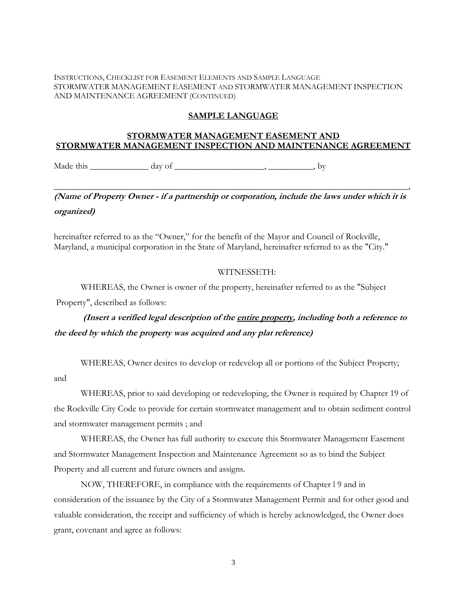#### INSTRUCTIONS, CHECKLIST FOR EASEMENT ELEMENTS AND SAMPLE LANGUAGE STORMWATER MANAGEMENT EASEMENT AND STORMWATER MANAGEMENT INSPECTION AND MAINTENANCE AGREEMENT (CONTINUED)

### **SAMPLE LANGUAGE**

### **STORMWATER MANAGEMENT EASEMENT AND STORMWATER MANAGEMENT INSPECTION AND MAINTENANCE AGREEMENT**

Made this  $\frac{1}{\sqrt{2\pi}} \frac{1}{\sqrt{2\pi}} \frac{dy}{dx}$  day of  $\frac{1}{\sqrt{2\pi}} \frac{dy}{dx}$ ,  $\frac{dy}{dx}$ 

# **(Name of Property Owner - if a partnership or corporation, include the laws under which it is organized)**

 $\longrightarrow$ 

hereinafter referred to as the "Owner," for the benefit of the Mayor and Council of Rockville, Maryland, a municipal corporation in the State of Maryland, hereinafter referred to as the "City."

#### WITNESSETH:

WHEREAS, the Owner is owner of the property, hereinafter referred to as the "Subject

Property", described as follows:

and

 **(Insert a verified legal description of the entire property, including both a reference to the deed by which the property was acquired and any plat reference)** 

WHEREAS, Owner desires to develop or redevelop all or portions of the Subject Property;

 WHEREAS, prior to said developing or redeveloping, the Owner is required by Chapter 19 of the Rockville City Code to provide for certain stormwater management and to obtain sediment control and stormwater management permits ; and

 WHEREAS, the Owner has full authority to execute this Stormwater Management Easement and Stormwater Management Inspection and Maintenance Agreement so as to bind the Subject Property and all current and future owners and assigns.

 NOW, THEREFORE, in compliance with the requirements of Chapter l 9 and in consideration of the issuance by the City of a Stormwater Management Permit and for other good and valuable consideration, the receipt and sufficiency of which is hereby acknowledged, the Owner does grant, covenant and agree as follows: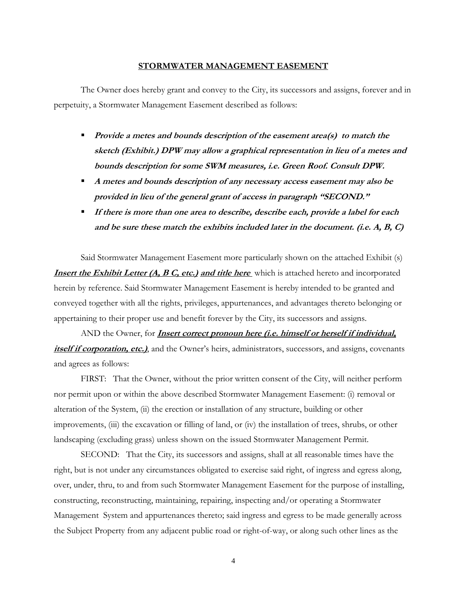#### **STORMWATER MANAGEMENT EASEMENT**

 The Owner does hereby grant and convey to the City, its successors and assigns, forever and in perpetuity, a Stormwater Management Easement described as follows:

- **Provide a metes and bounds description of the easement area(s) to match the sketch (Exhibit.) DPW may allow a graphical representation in lieu of a metes and bounds description for some SWM measures, i.e. Green Roof. Consult DPW.**
- **A metes and bounds description of any necessary access easement may also be provided in lieu of the general grant of access in paragraph "SECOND."**
- **If there is more than one area to describe, describe each, provide a label for each and be sure these match the exhibits included later in the document. (i.e. A, B, C)**

 Said Stormwater Management Easement more particularly shown on the attached Exhibit (s) **Insert the Exhibit Letter (A, B C, etc.) and title here** which is attached hereto and incorporated herein by reference. Said Stormwater Management Easement is hereby intended to be granted and conveyed together with all the rights, privileges, appurtenances, and advantages thereto belonging or appertaining to their proper use and benefit forever by the City, its successors and assigns.

 AND the Owner, for **Insert correct pronoun here (i.e. himself or herself if individual, itself if corporation, etc.)**, and the Owner's heirs, administrators, successors, and assigns, covenants and agrees as follows:

 FIRST: That the Owner, without the prior written consent of the City, will neither perform nor permit upon or within the above described Stormwater Management Easement: (i) removal or alteration of the System, (ii) the erection or installation of any structure, building or other improvements, (iii) the excavation or filling of land, or (iv) the installation of trees, shrubs, or other landscaping (excluding grass) unless shown on the issued Stormwater Management Permit.

 SECOND: That the City, its successors and assigns, shall at all reasonable times have the right, but is not under any circumstances obligated to exercise said right, of ingress and egress along, over, under, thru, to and from such Stormwater Management Easement for the purpose of installing, constructing, reconstructing, maintaining, repairing, inspecting and/or operating a Stormwater Management System and appurtenances thereto; said ingress and egress to be made generally across the Subject Property from any adjacent public road or right-of-way, or along such other lines as the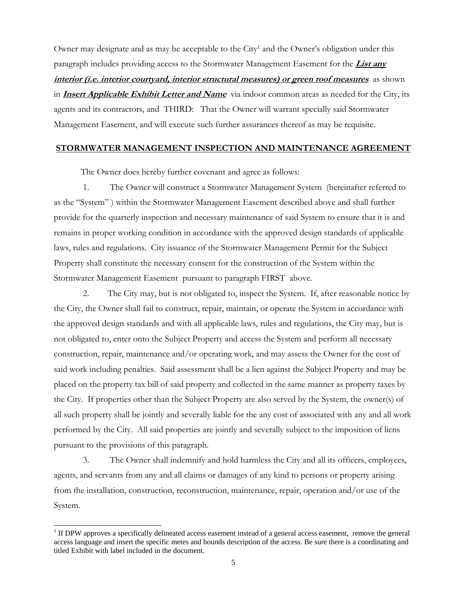Owner may designate and as may be acceptable to the City<sup>1</sup> and the Owner's obligation under this paragraph includes providing access to the Stormwater Management Easement for the **List any**  *interior (i.e. interior courtyard, interior structural measures) or green roof measures* **as shown** in **Insert Applicable Exhibit Letter and Name** via indoor common areas as needed for the City, its agents and its contractors, and THIRD: That the Owner will warrant specially said Stormwater Management Easement, and will execute such further assurances thereof as may be requisite.

#### **STORMWATER MANAGEMENT INSPECTION AND MAINTENANCE AGREEMENT**

The Owner does hereby further covenant and agree as follows:

 1. The Owner will construct a Stormwater Management System (hereinafter referred to as the "System" ) within the Stormwater Management Easement described above and shall further provide for the quarterly inspection and necessary maintenance of said System to ensure that it is and remains in proper working condition in accordance with the approved design standards of applicable laws, rules and regulations. City issuance of the Stormwater Management Permit for the Subject Property shall constitute the necessary consent for the construction of the System within the Stormwater Management Easement pursuant to paragraph FIRST above.

 2. The City may, but is not obligated to, inspect the System. If, after reasonable notice by the City, the Owner shall fail to construct, repair, maintain, or operate the System in accordance with the approved design standards and with all applicable laws, rules and regulations, the City may, but is not obligated to, enter onto the Subject Property and access the System and perform all necessary construction, repair, maintenance and/or operating work, and may assess the Owner for the cost of said work including penalties. Said assessment shall be a lien against the Subject Property and may be placed on the property tax bill of said property and collected in the same manner as property taxes by the City. If properties other than the Subject Property are also served by the System, the owner(s) of all such property shall be jointly and severally liable for the any cost of associated with any and all work performed by the City. All said properties are jointly and severally subject to the imposition of liens pursuant to the provisions of this paragraph.

 3. The Owner shall indemnify and hold harmless the City and all its officers, employees, agents, and servants from any and all claims or damages of any kind to persons or property arising from the installation, construction, reconstruction, maintenance, repair, operation and/or use of the System.

 $\overline{a}$ 

 $<sup>1</sup>$  If DPW approves a specifically delineated access easement instead of a general access easement, remove the general</sup> access language and insert the specific metes and bounds description of the access. Be sure there is a coordinating and titled Exhibit with label included in the document.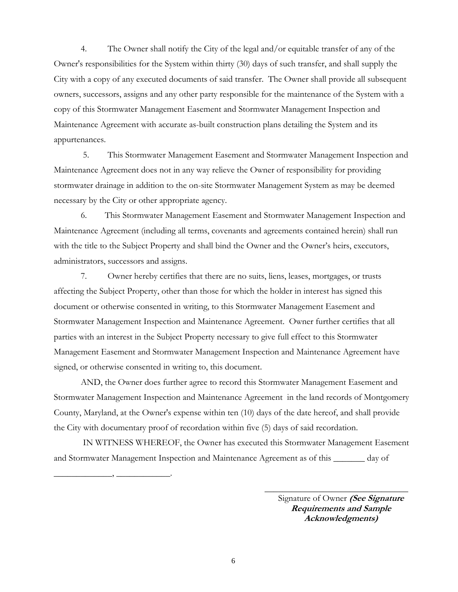4. The Owner shall notify the City of the legal and/or equitable transfer of any of the Owner's responsibilities for the System within thirty (30) days of such transfer, and shall supply the City with a copy of any executed documents of said transfer. The Owner shall provide all subsequent owners, successors, assigns and any other party responsible for the maintenance of the System with a copy of this Stormwater Management Easement and Stormwater Management Inspection and Maintenance Agreement with accurate as-built construction plans detailing the System and its appurtenances.

 5. This Stormwater Management Easement and Stormwater Management Inspection and Maintenance Agreement does not in any way relieve the Owner of responsibility for providing stormwater drainage in addition to the on-site Stormwater Management System as may be deemed necessary by the City or other appropriate agency.

 6. This Stormwater Management Easement and Stormwater Management Inspection and Maintenance Agreement (including all terms, covenants and agreements contained herein) shall run with the title to the Subject Property and shall bind the Owner and the Owner's heirs, executors, administrators, successors and assigns.

 7. Owner hereby certifies that there are no suits, liens, leases, mortgages, or trusts affecting the Subject Property, other than those for which the holder in interest has signed this document or otherwise consented in writing, to this Stormwater Management Easement and Stormwater Management Inspection and Maintenance Agreement. Owner further certifies that all parties with an interest in the Subject Property necessary to give full effect to this Stormwater Management Easement and Stormwater Management Inspection and Maintenance Agreement have signed, or otherwise consented in writing to, this document.

 AND, the Owner does further agree to record this Stormwater Management Easement and Stormwater Management Inspection and Maintenance Agreement in the land records of Montgomery County, Maryland, at the Owner's expense within ten (10) days of the date hereof, and shall provide the City with documentary proof of recordation within five (5) days of said recordation.

 IN WITNESS WHEREOF, the Owner has executed this Stormwater Management Easement and Stormwater Management Inspection and Maintenance Agreement as of this \_\_\_\_\_\_\_ day of

 $\overline{\phantom{a}}$  , and the contract of the contract of the contract of the contract of the contract of the contract of the contract of the contract of the contract of the contract of the contract of the contract of the contrac

\_\_\_\_\_\_\_\_\_\_\_\_\_, \_\_\_\_\_\_\_\_\_\_\_\_.

Signature of Owner **(See Signature Requirements and Sample Acknowledgments)**

6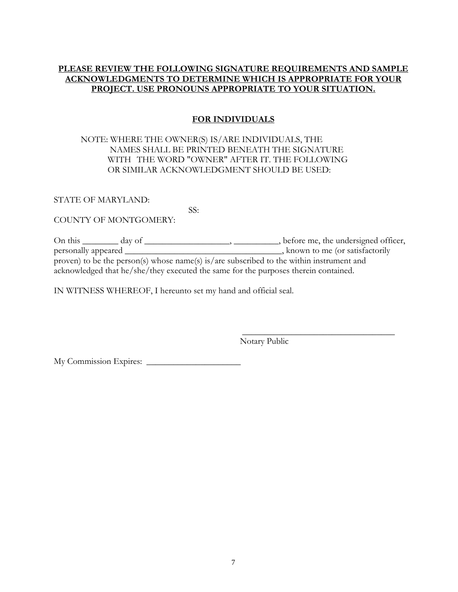### **PLEASE REVIEW THE FOLLOWING SIGNATURE REQUIREMENTS AND SAMPLE ACKNOWLEDGMENTS TO DETERMINE WHICH IS APPROPRIATE FOR YOUR PROJECT. USE PRONOUNS APPROPRIATE TO YOUR SITUATION.**

### **FOR INDIVIDUALS**

### NOTE: WHERE THE OWNER(S) IS/ARE INDIVIDUALS, THE NAMES SHALL BE PRINTED BENEATH THE SIGNATURE WITH THE WORD "OWNER" AFTER IT. THE FOLLOWING OR SIMILAR ACKNOWLEDGMENT SHOULD BE USED:

STATE OF MARYLAND:

SS:

COUNTY OF MONTGOMERY:

On this \_\_\_\_\_\_ day of \_\_\_\_\_\_\_\_\_\_\_\_\_\_\_\_\_, \_\_\_\_\_\_\_\_\_, before me, the undersigned officer, personally appeared \_\_\_\_\_\_\_\_\_\_\_\_\_\_\_\_\_\_\_\_\_\_\_\_\_\_\_\_\_\_\_\_\_\_\_, known to me (or satisfactorily proven) to be the person(s) whose name(s) is/are subscribed to the within instrument and acknowledged that he/she/they executed the same for the purposes therein contained.

 $\frac{1}{\sqrt{2}}$  ,  $\frac{1}{\sqrt{2}}$  ,  $\frac{1}{\sqrt{2}}$  ,  $\frac{1}{\sqrt{2}}$  ,  $\frac{1}{\sqrt{2}}$  ,  $\frac{1}{\sqrt{2}}$  ,  $\frac{1}{\sqrt{2}}$  ,  $\frac{1}{\sqrt{2}}$  ,  $\frac{1}{\sqrt{2}}$  ,  $\frac{1}{\sqrt{2}}$  ,  $\frac{1}{\sqrt{2}}$  ,  $\frac{1}{\sqrt{2}}$  ,  $\frac{1}{\sqrt{2}}$  ,  $\frac{1}{\sqrt{2}}$  ,  $\frac{1}{\sqrt{2}}$ 

IN WITNESS WHEREOF, I hereunto set my hand and official seal.

Notary Public

My Commission Expires: \_\_\_\_\_\_\_\_\_\_\_\_\_\_\_\_\_\_\_\_\_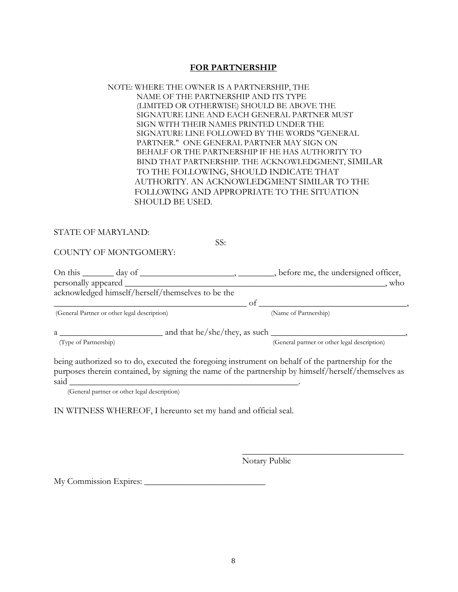#### **FOR PARTNERSHIP**

#### NOTE: WHERE THE OWNER IS A PARTNERSHIP, THE NAME OF THE PARTNERSHIP AND ITS TYPE (LIMITED OR OTHERWISE) SHOULD BE ABOVE THE SIGNATURE LINE AND EACH GENERAL PARTNER MUST SIGN WITH THEIR NAMES PRINTED UNDER THE SIGNATURE LINE FOLLOWED BY THE WORDS "GENERAL PARTNER." ONE GENERAL PARTNER MAY SIGN ON BEHALF OR THE PARTNERSHIP IF HE HAS AUTHORITY TO BIND THAT PARTNERSHIP. THE ACKNOWLEDGMENT, SIMILAR TO THE FOLLOWING, SHOULD INDICATE THAT AUTHORITY. AN ACKNOWLEDGMENT SIMILAR TO THE FOLLOWING AND APPROPRIATE TO THE SITUATION SHOULD BE USED.

#### STATE OF MARYLAND:

SS:

COUNTY OF MONTGOMERY:

On this \_\_\_\_\_\_ day of \_\_\_\_\_\_\_\_\_\_\_\_\_\_\_\_\_\_\_\_, \_\_\_\_\_\_\_, before me, the undersigned officer, personally appeared \_\_\_\_\_\_\_\_\_\_\_\_\_\_\_\_\_\_\_\_\_\_\_\_\_\_\_\_\_\_\_\_\_\_\_\_\_\_\_\_\_\_\_\_\_\_\_\_\_\_\_\_\_\_\_\_\_\_, who acknowledged himself/herself/themselves to be the \_\_\_\_\_\_\_\_\_\_\_\_\_\_\_\_\_\_\_\_\_\_\_\_\_\_\_\_\_\_\_\_\_\_\_\_\_\_\_\_\_\_\_ of \_\_\_\_\_\_\_\_\_\_\_\_\_\_\_\_\_\_\_\_\_\_\_\_\_\_\_\_\_\_\_\_\_,

(General Partner or other legal description) (Name of Partnership)

 $a \frac{1}{\text{(Type of Partnership)}}$  and that he/she/they, as such  $\frac{1}{\text{(General partner or other legal desadraal})}$ (General partner or other legal description)

being authorized so to do, executed the foregoing instrument on behalf of the partnership for the purposes therein contained, by signing the name of the partnership by himself/herself/themselves as said  $\Box$ 

 $\overline{\phantom{a}}$  , which is a set of the set of the set of the set of the set of the set of the set of the set of the set of the set of the set of the set of the set of the set of the set of the set of the set of the set of th

(General partner or other legal description)

IN WITNESS WHEREOF, I hereunto set my hand and official seal.

Notary Public

My Commission Expires: \_\_\_\_\_\_\_\_\_\_\_\_\_\_\_\_\_\_\_\_\_\_\_\_\_\_\_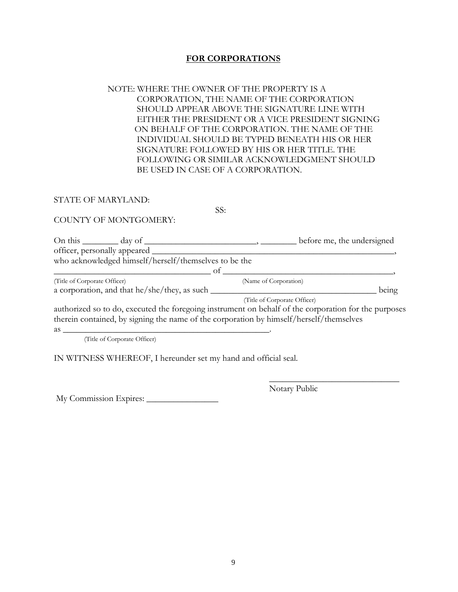### **FOR CORPORATIONS**

### NOTE: WHERE THE OWNER OF THE PROPERTY IS A CORPORATION, THE NAME OF THE CORPORATION SHOULD APPEAR ABOVE THE SIGNATURE LINE WITH EITHER THE PRESIDENT OR A VICE PRESIDENT SIGNING ON BEHALF OF THE CORPORATION. THE NAME OF THE INDIVIDUAL SHOULD BE TYPED BENEATH HIS OR HER SIGNATURE FOLLOWED BY HIS OR HER TITLE. THE FOLLOWING OR SIMILAR ACKNOWLEDGMENT SHOULD BE USED IN CASE OF A CORPORATION.

#### STATE OF MARYLAND:

SS:

#### COUNTY OF MONTGOMERY:

| On this $\_\_\_\_\_\$ day of $\_\_\_\$                                                               |                              | before me, the undersigned |       |
|------------------------------------------------------------------------------------------------------|------------------------------|----------------------------|-------|
| officer, personally appeared _                                                                       |                              |                            |       |
| who acknowledged himself/herself/themselves to be the                                                |                              |                            |       |
| ot.                                                                                                  |                              |                            |       |
| (Title of Corporate Officer)                                                                         | (Name of Corporation)        |                            |       |
| a corporation, and that he/she/they, as such _                                                       |                              |                            | being |
|                                                                                                      | (Title of Corporate Officer) |                            |       |
| authorized so to do, executed the foregoing instrument on behalf of the corporation for the purposes |                              |                            |       |
| therein contained, by signing the name of the corporation by himself/herself/themselves              |                              |                            |       |

 $\frac{1}{\sqrt{2}}$  ,  $\frac{1}{\sqrt{2}}$  ,  $\frac{1}{\sqrt{2}}$  ,  $\frac{1}{\sqrt{2}}$  ,  $\frac{1}{\sqrt{2}}$  ,  $\frac{1}{\sqrt{2}}$  ,  $\frac{1}{\sqrt{2}}$  ,  $\frac{1}{\sqrt{2}}$  ,  $\frac{1}{\sqrt{2}}$  ,  $\frac{1}{\sqrt{2}}$  ,  $\frac{1}{\sqrt{2}}$  ,  $\frac{1}{\sqrt{2}}$  ,  $\frac{1}{\sqrt{2}}$  ,  $\frac{1}{\sqrt{2}}$  ,  $\frac{1}{\sqrt{2}}$ 

as  $\frac{1}{2}$ 

(Title of Corporate Officer)

IN WITNESS WHEREOF, I hereunder set my hand and official seal.

My Commission Expires: \_\_\_\_\_\_\_\_\_\_\_\_\_\_\_\_

Notary Public